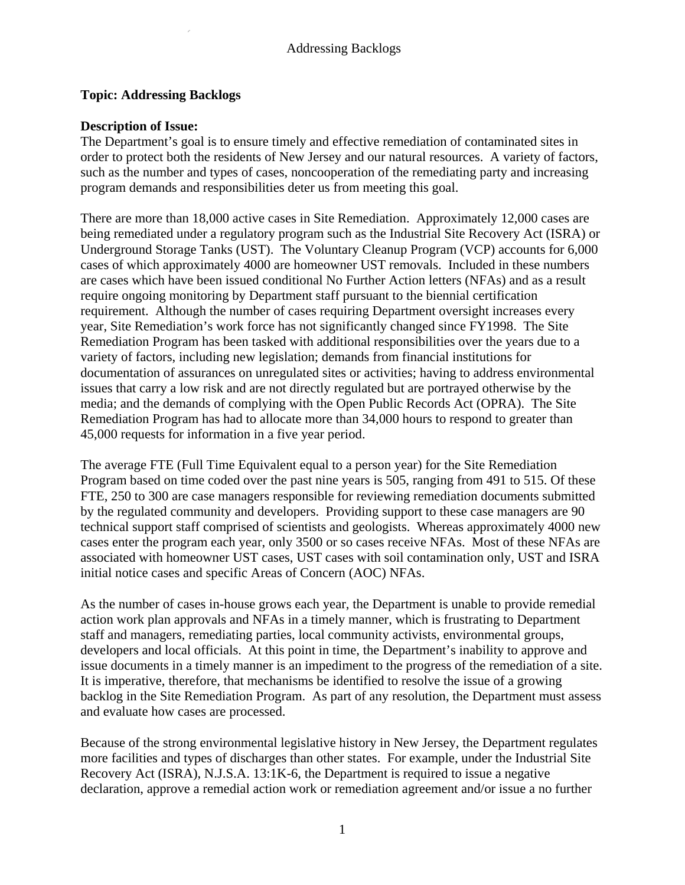## **Topic: Addressing Backlogs**

## **Description of Issue:**

The Department's goal is to ensure timely and effective remediation of contaminated sites in order to protect both the residents of New Jersey and our natural resources. A variety of factors, such as the number and types of cases, noncooperation of the remediating party and increasing program demands and responsibilities deter us from meeting this goal.

There are more than 18,000 active cases in Site Remediation. Approximately 12,000 cases are being remediated under a regulatory program such as the Industrial Site Recovery Act (ISRA) or Underground Storage Tanks (UST). The Voluntary Cleanup Program (VCP) accounts for 6,000 cases of which approximately 4000 are homeowner UST removals. Included in these numbers are cases which have been issued conditional No Further Action letters (NFAs) and as a result require ongoing monitoring by Department staff pursuant to the biennial certification requirement. Although the number of cases requiring Department oversight increases every year, Site Remediation's work force has not significantly changed since FY1998. The Site Remediation Program has been tasked with additional responsibilities over the years due to a variety of factors, including new legislation; demands from financial institutions for documentation of assurances on unregulated sites or activities; having to address environmental issues that carry a low risk and are not directly regulated but are portrayed otherwise by the media; and the demands of complying with the Open Public Records Act (OPRA). The Site Remediation Program has had to allocate more than 34,000 hours to respond to greater than 45,000 requests for information in a five year period.

The average FTE (Full Time Equivalent equal to a person year) for the Site Remediation Program based on time coded over the past nine years is 505, ranging from 491 to 515. Of these FTE, 250 to 300 are case managers responsible for reviewing remediation documents submitted by the regulated community and developers. Providing support to these case managers are 90 technical support staff comprised of scientists and geologists. Whereas approximately 4000 new cases enter the program each year, only 3500 or so cases receive NFAs. Most of these NFAs are associated with homeowner UST cases, UST cases with soil contamination only, UST and ISRA initial notice cases and specific Areas of Concern (AOC) NFAs.

As the number of cases in-house grows each year, the Department is unable to provide remedial action work plan approvals and NFAs in a timely manner, which is frustrating to Department staff and managers, remediating parties, local community activists, environmental groups, developers and local officials. At this point in time, the Department's inability to approve and issue documents in a timely manner is an impediment to the progress of the remediation of a site. It is imperative, therefore, that mechanisms be identified to resolve the issue of a growing backlog in the Site Remediation Program. As part of any resolution, the Department must assess and evaluate how cases are processed.

Because of the strong environmental legislative history in New Jersey, the Department regulates more facilities and types of discharges than other states. For example, under the Industrial Site Recovery Act (ISRA), N.J.S.A. 13:1K-6, the Department is required to issue a negative declaration, approve a remedial action work or remediation agreement and/or issue a no further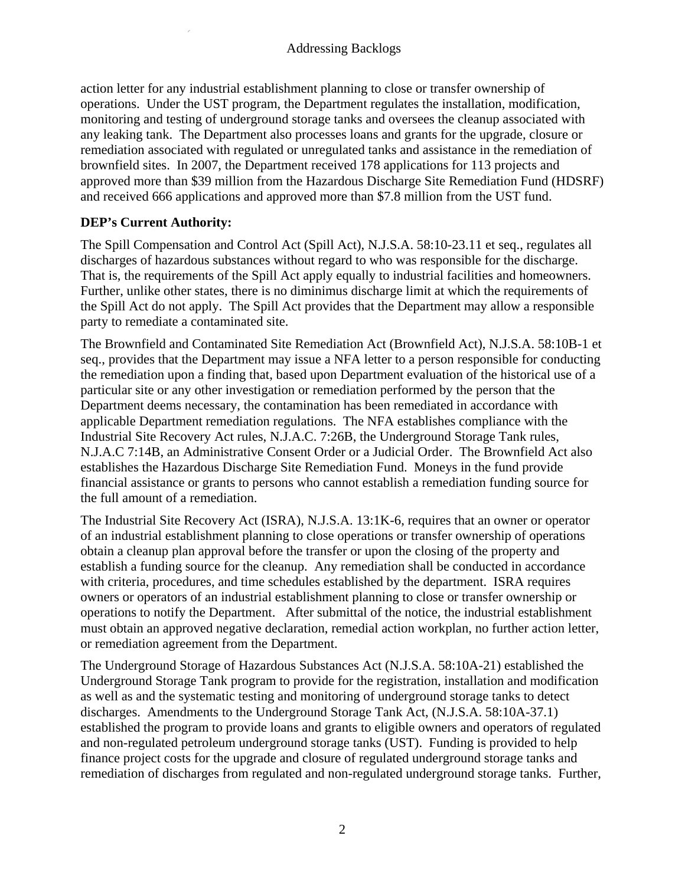action letter for any industrial establishment planning to close or transfer ownership of operations. Under the UST program, the Department regulates the installation, modification, monitoring and testing of underground storage tanks and oversees the cleanup associated with any leaking tank. The Department also processes loans and grants for the upgrade, closure or remediation associated with regulated or unregulated tanks and assistance in the remediation of brownfield sites. In 2007, the Department received 178 applications for 113 projects and approved more than \$39 million from the Hazardous Discharge Site Remediation Fund (HDSRF) and received 666 applications and approved more than \$7.8 million from the UST fund.

# **DEP's Current Authority:**

The Spill Compensation and Control Act (Spill Act), N.J.S.A. 58:10-23.11 et seq., regulates all discharges of hazardous substances without regard to who was responsible for the discharge. That is, the requirements of the Spill Act apply equally to industrial facilities and homeowners. Further, unlike other states, there is no diminimus discharge limit at which the requirements of the Spill Act do not apply. The Spill Act provides that the Department may allow a responsible party to remediate a contaminated site.

The Brownfield and Contaminated Site Remediation Act (Brownfield Act), N.J.S.A. 58:10B-1 et seq., provides that the Department may issue a NFA letter to a person responsible for conducting the remediation upon a finding that, based upon Department evaluation of the historical use of a particular site or any other investigation or remediation performed by the person that the Department deems necessary, the contamination has been remediated in accordance with applicable Department remediation regulations. The NFA establishes compliance with the Industrial Site Recovery Act rules, N.J.A.C. 7:26B, the Underground Storage Tank rules, N.J.A.C 7:14B, an Administrative Consent Order or a Judicial Order. The Brownfield Act also establishes the Hazardous Discharge Site Remediation Fund. Moneys in the fund provide financial assistance or grants to persons who cannot establish a remediation funding source for the full amount of a remediation.

The Industrial Site Recovery Act (ISRA), N.J.S.A. 13:1K-6, requires that an owner or operator of an industrial establishment planning to close operations or transfer ownership of operations obtain a cleanup plan approval before the transfer or upon the closing of the property and establish a funding source for the cleanup. Any remediation shall be conducted in accordance with criteria, procedures, and time schedules established by the department. ISRA requires owners or operators of an industrial establishment planning to close or transfer ownership or operations to notify the Department. After submittal of the notice, the industrial establishment must obtain an approved negative declaration, remedial action workplan, no further action letter, or remediation agreement from the Department.

The Underground Storage of Hazardous Substances Act (N.J.S.A. 58:10A-21) established the Underground Storage Tank program to provide for the registration, installation and modification as well as and the systematic testing and monitoring of underground storage tanks to detect discharges. Amendments to the Underground Storage Tank Act, (N.J.S.A. 58:10A-37.1) established the program to provide loans and grants to eligible owners and operators of regulated and non-regulated petroleum underground storage tanks (UST). Funding is provided to help finance project costs for the upgrade and closure of regulated underground storage tanks and remediation of discharges from regulated and non-regulated underground storage tanks. Further,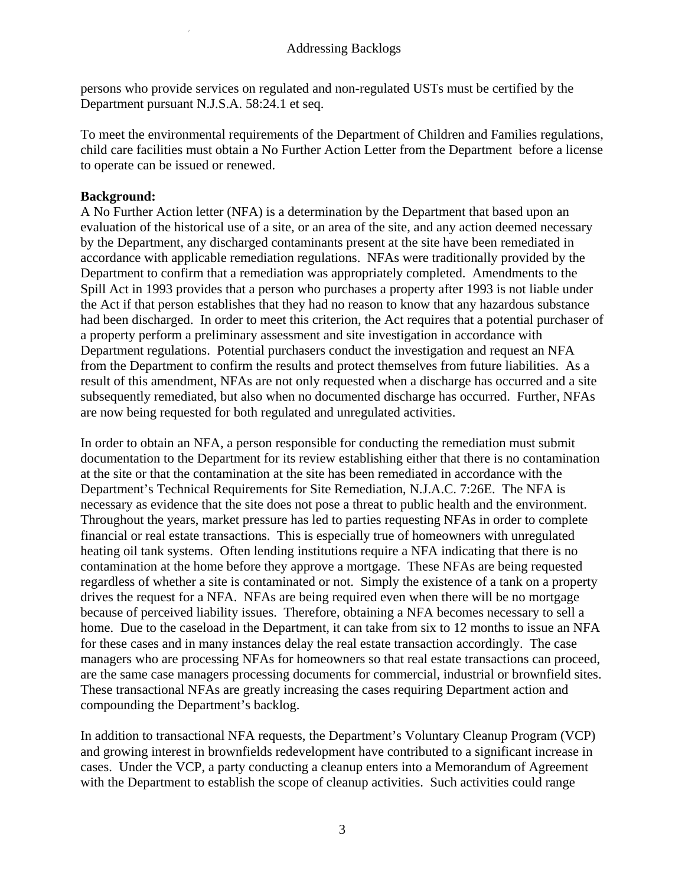persons who provide services on regulated and non-regulated USTs must be certified by the Department pursuant N.J.S.A. 58:24.1 et seq.

To meet the environmental requirements of the Department of Children and Families regulations, child care facilities must obtain a No Further Action Letter from the Department before a license to operate can be issued or renewed.

## **Background:**

A No Further Action letter (NFA) is a determination by the Department that based upon an evaluation of the historical use of a site, or an area of the site, and any action deemed necessary by the Department, any discharged contaminants present at the site have been remediated in accordance with applicable remediation regulations. NFAs were traditionally provided by the Department to confirm that a remediation was appropriately completed. Amendments to the Spill Act in 1993 provides that a person who purchases a property after 1993 is not liable under the Act if that person establishes that they had no reason to know that any hazardous substance had been discharged. In order to meet this criterion, the Act requires that a potential purchaser of a property perform a preliminary assessment and site investigation in accordance with Department regulations. Potential purchasers conduct the investigation and request an NFA from the Department to confirm the results and protect themselves from future liabilities. As a result of this amendment, NFAs are not only requested when a discharge has occurred and a site subsequently remediated, but also when no documented discharge has occurred. Further, NFAs are now being requested for both regulated and unregulated activities.

In order to obtain an NFA, a person responsible for conducting the remediation must submit documentation to the Department for its review establishing either that there is no contamination at the site or that the contamination at the site has been remediated in accordance with the Department's Technical Requirements for Site Remediation, N.J.A.C. 7:26E. The NFA is necessary as evidence that the site does not pose a threat to public health and the environment. Throughout the years, market pressure has led to parties requesting NFAs in order to complete financial or real estate transactions. This is especially true of homeowners with unregulated heating oil tank systems. Often lending institutions require a NFA indicating that there is no contamination at the home before they approve a mortgage. These NFAs are being requested regardless of whether a site is contaminated or not. Simply the existence of a tank on a property drives the request for a NFA. NFAs are being required even when there will be no mortgage because of perceived liability issues. Therefore, obtaining a NFA becomes necessary to sell a home. Due to the caseload in the Department, it can take from six to 12 months to issue an NFA for these cases and in many instances delay the real estate transaction accordingly. The case managers who are processing NFAs for homeowners so that real estate transactions can proceed, are the same case managers processing documents for commercial, industrial or brownfield sites. These transactional NFAs are greatly increasing the cases requiring Department action and compounding the Department's backlog.

In addition to transactional NFA requests, the Department's Voluntary Cleanup Program (VCP) and growing interest in brownfields redevelopment have contributed to a significant increase in cases. Under the VCP, a party conducting a cleanup enters into a Memorandum of Agreement with the Department to establish the scope of cleanup activities. Such activities could range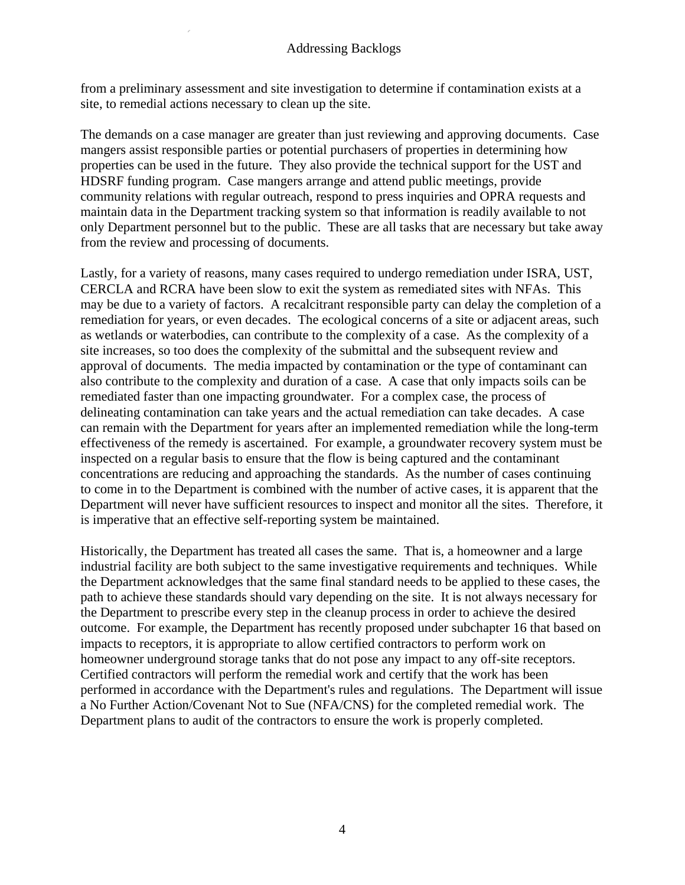from a preliminary assessment and site investigation to determine if contamination exists at a site, to remedial actions necessary to clean up the site.

The demands on a case manager are greater than just reviewing and approving documents. Case mangers assist responsible parties or potential purchasers of properties in determining how properties can be used in the future. They also provide the technical support for the UST and HDSRF funding program. Case mangers arrange and attend public meetings, provide community relations with regular outreach, respond to press inquiries and OPRA requests and maintain data in the Department tracking system so that information is readily available to not only Department personnel but to the public. These are all tasks that are necessary but take away from the review and processing of documents.

Lastly, for a variety of reasons, many cases required to undergo remediation under ISRA, UST, CERCLA and RCRA have been slow to exit the system as remediated sites with NFAs. This may be due to a variety of factors. A recalcitrant responsible party can delay the completion of a remediation for years, or even decades. The ecological concerns of a site or adjacent areas, such as wetlands or waterbodies, can contribute to the complexity of a case. As the complexity of a site increases, so too does the complexity of the submittal and the subsequent review and approval of documents. The media impacted by contamination or the type of contaminant can also contribute to the complexity and duration of a case. A case that only impacts soils can be remediated faster than one impacting groundwater. For a complex case, the process of delineating contamination can take years and the actual remediation can take decades. A case can remain with the Department for years after an implemented remediation while the long-term effectiveness of the remedy is ascertained. For example, a groundwater recovery system must be inspected on a regular basis to ensure that the flow is being captured and the contaminant concentrations are reducing and approaching the standards. As the number of cases continuing to come in to the Department is combined with the number of active cases, it is apparent that the Department will never have sufficient resources to inspect and monitor all the sites. Therefore, it is imperative that an effective self-reporting system be maintained.

Historically, the Department has treated all cases the same. That is, a homeowner and a large industrial facility are both subject to the same investigative requirements and techniques. While the Department acknowledges that the same final standard needs to be applied to these cases, the path to achieve these standards should vary depending on the site. It is not always necessary for the Department to prescribe every step in the cleanup process in order to achieve the desired outcome. For example, the Department has recently proposed under subchapter 16 that based on impacts to receptors, it is appropriate to allow certified contractors to perform work on homeowner underground storage tanks that do not pose any impact to any off-site receptors. Certified contractors will perform the remedial work and certify that the work has been performed in accordance with the Department's rules and regulations. The Department will issue a No Further Action/Covenant Not to Sue (NFA/CNS) for the completed remedial work. The Department plans to audit of the contractors to ensure the work is properly completed.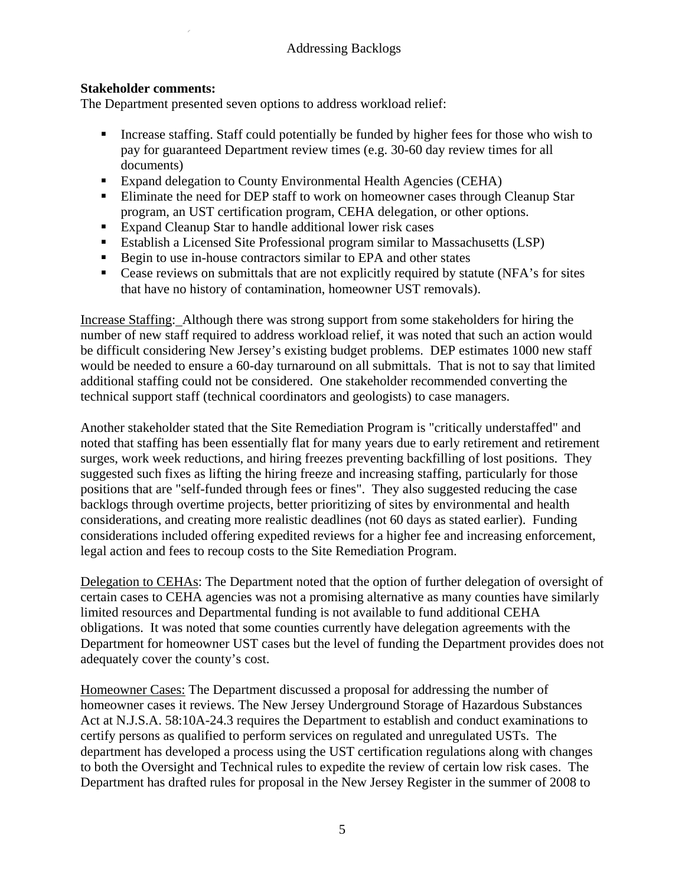## **Stakeholder comments:**

The Department presented seven options to address workload relief:

- Increase staffing. Staff could potentially be funded by higher fees for those who wish to pay for guaranteed Department review times (e.g. 30-60 day review times for all documents)
- Expand delegation to County Environmental Health Agencies (CEHA)
- **Eliminate the need for DEP staff to work on homeowner cases through Cleanup Star** program, an UST certification program, CEHA delegation, or other options.
- Expand Cleanup Star to handle additional lower risk cases
- Establish a Licensed Site Professional program similar to Massachusetts (LSP)
- Begin to use in-house contractors similar to EPA and other states
- Cease reviews on submittals that are not explicitly required by statute (NFA's for sites that have no history of contamination, homeowner UST removals).

Increase Staffing: Although there was strong support from some stakeholders for hiring the number of new staff required to address workload relief, it was noted that such an action would be difficult considering New Jersey's existing budget problems. DEP estimates 1000 new staff would be needed to ensure a 60-day turnaround on all submittals. That is not to say that limited additional staffing could not be considered. One stakeholder recommended converting the technical support staff (technical coordinators and geologists) to case managers.

Another stakeholder stated that the Site Remediation Program is "critically understaffed" and noted that staffing has been essentially flat for many years due to early retirement and retirement surges, work week reductions, and hiring freezes preventing backfilling of lost positions. They suggested such fixes as lifting the hiring freeze and increasing staffing, particularly for those positions that are "self-funded through fees or fines". They also suggested reducing the case backlogs through overtime projects, better prioritizing of sites by environmental and health considerations, and creating more realistic deadlines (not 60 days as stated earlier). Funding considerations included offering expedited reviews for a higher fee and increasing enforcement, legal action and fees to recoup costs to the Site Remediation Program.

Delegation to CEHAs: The Department noted that the option of further delegation of oversight of certain cases to CEHA agencies was not a promising alternative as many counties have similarly limited resources and Departmental funding is not available to fund additional CEHA obligations. It was noted that some counties currently have delegation agreements with the Department for homeowner UST cases but the level of funding the Department provides does not adequately cover the county's cost.

Homeowner Cases: The Department discussed a proposal for addressing the number of homeowner cases it reviews. The New Jersey Underground Storage of Hazardous Substances Act at N.J.S.A. 58:10A-24.3 requires the Department to establish and conduct examinations to certify persons as qualified to perform services on regulated and unregulated USTs. The department has developed a process using the UST certification regulations along with changes to both the Oversight and Technical rules to expedite the review of certain low risk cases. The Department has drafted rules for proposal in the New Jersey Register in the summer of 2008 to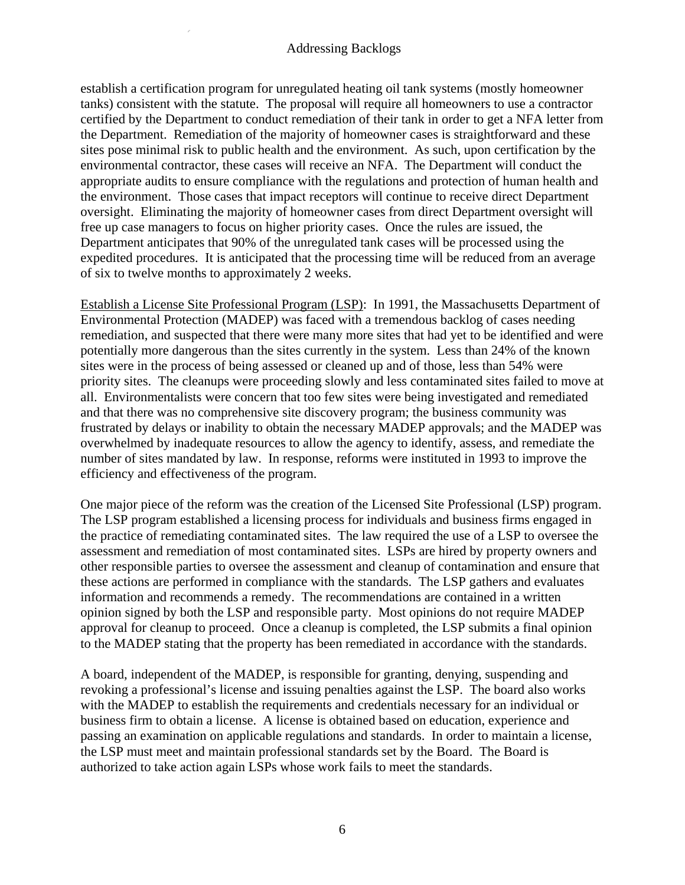establish a certification program for unregulated heating oil tank systems (mostly homeowner tanks) consistent with the statute. The proposal will require all homeowners to use a contractor certified by the Department to conduct remediation of their tank in order to get a NFA letter from the Department. Remediation of the majority of homeowner cases is straightforward and these sites pose minimal risk to public health and the environment. As such, upon certification by the environmental contractor, these cases will receive an NFA. The Department will conduct the appropriate audits to ensure compliance with the regulations and protection of human health and the environment. Those cases that impact receptors will continue to receive direct Department oversight. Eliminating the majority of homeowner cases from direct Department oversight will free up case managers to focus on higher priority cases. Once the rules are issued, the Department anticipates that 90% of the unregulated tank cases will be processed using the expedited procedures. It is anticipated that the processing time will be reduced from an average of six to twelve months to approximately 2 weeks.

Establish a License Site Professional Program (LSP): In 1991, the Massachusetts Department of Environmental Protection (MADEP) was faced with a tremendous backlog of cases needing remediation, and suspected that there were many more sites that had yet to be identified and were potentially more dangerous than the sites currently in the system. Less than 24% of the known sites were in the process of being assessed or cleaned up and of those, less than 54% were priority sites. The cleanups were proceeding slowly and less contaminated sites failed to move at all. Environmentalists were concern that too few sites were being investigated and remediated and that there was no comprehensive site discovery program; the business community was frustrated by delays or inability to obtain the necessary MADEP approvals; and the MADEP was overwhelmed by inadequate resources to allow the agency to identify, assess, and remediate the number of sites mandated by law. In response, reforms were instituted in 1993 to improve the efficiency and effectiveness of the program.

One major piece of the reform was the creation of the Licensed Site Professional (LSP) program. The LSP program established a licensing process for individuals and business firms engaged in the practice of remediating contaminated sites. The law required the use of a LSP to oversee the assessment and remediation of most contaminated sites. LSPs are hired by property owners and other responsible parties to oversee the assessment and cleanup of contamination and ensure that these actions are performed in compliance with the standards. The LSP gathers and evaluates information and recommends a remedy. The recommendations are contained in a written opinion signed by both the LSP and responsible party. Most opinions do not require MADEP approval for cleanup to proceed. Once a cleanup is completed, the LSP submits a final opinion to the MADEP stating that the property has been remediated in accordance with the standards.

A board, independent of the MADEP, is responsible for granting, denying, suspending and revoking a professional's license and issuing penalties against the LSP. The board also works with the MADEP to establish the requirements and credentials necessary for an individual or business firm to obtain a license. A license is obtained based on education, experience and passing an examination on applicable regulations and standards. In order to maintain a license, the LSP must meet and maintain professional standards set by the Board. The Board is authorized to take action again LSPs whose work fails to meet the standards.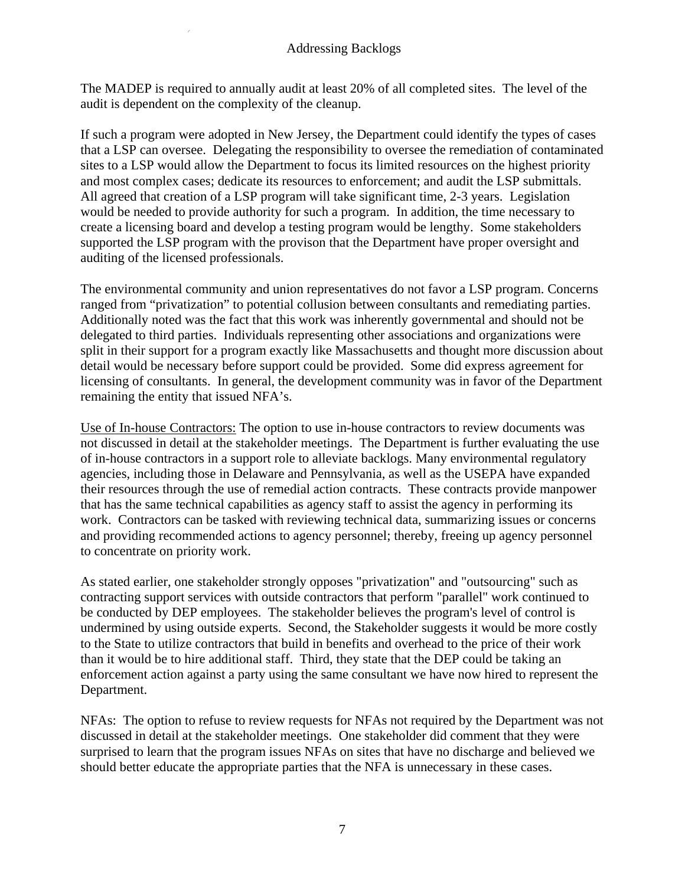The MADEP is required to annually audit at least 20% of all completed sites. The level of the audit is dependent on the complexity of the cleanup.

If such a program were adopted in New Jersey, the Department could identify the types of cases that a LSP can oversee. Delegating the responsibility to oversee the remediation of contaminated sites to a LSP would allow the Department to focus its limited resources on the highest priority and most complex cases; dedicate its resources to enforcement; and audit the LSP submittals. All agreed that creation of a LSP program will take significant time, 2-3 years. Legislation would be needed to provide authority for such a program. In addition, the time necessary to create a licensing board and develop a testing program would be lengthy. Some stakeholders supported the LSP program with the provison that the Department have proper oversight and auditing of the licensed professionals.

The environmental community and union representatives do not favor a LSP program. Concerns ranged from "privatization" to potential collusion between consultants and remediating parties. Additionally noted was the fact that this work was inherently governmental and should not be delegated to third parties. Individuals representing other associations and organizations were split in their support for a program exactly like Massachusetts and thought more discussion about detail would be necessary before support could be provided. Some did express agreement for licensing of consultants. In general, the development community was in favor of the Department remaining the entity that issued NFA's.

Use of In-house Contractors: The option to use in-house contractors to review documents was not discussed in detail at the stakeholder meetings. The Department is further evaluating the use of in-house contractors in a support role to alleviate backlogs. Many environmental regulatory agencies, including those in Delaware and Pennsylvania, as well as the USEPA have expanded their resources through the use of remedial action contracts. These contracts provide manpower that has the same technical capabilities as agency staff to assist the agency in performing its work. Contractors can be tasked with reviewing technical data, summarizing issues or concerns and providing recommended actions to agency personnel; thereby, freeing up agency personnel to concentrate on priority work.

As stated earlier, one stakeholder strongly opposes "privatization" and "outsourcing" such as contracting support services with outside contractors that perform "parallel" work continued to be conducted by DEP employees. The stakeholder believes the program's level of control is undermined by using outside experts. Second, the Stakeholder suggests it would be more costly to the State to utilize contractors that build in benefits and overhead to the price of their work than it would be to hire additional staff. Third, they state that the DEP could be taking an enforcement action against a party using the same consultant we have now hired to represent the Department.

NFAs: The option to refuse to review requests for NFAs not required by the Department was not discussed in detail at the stakeholder meetings. One stakeholder did comment that they were surprised to learn that the program issues NFAs on sites that have no discharge and believed we should better educate the appropriate parties that the NFA is unnecessary in these cases.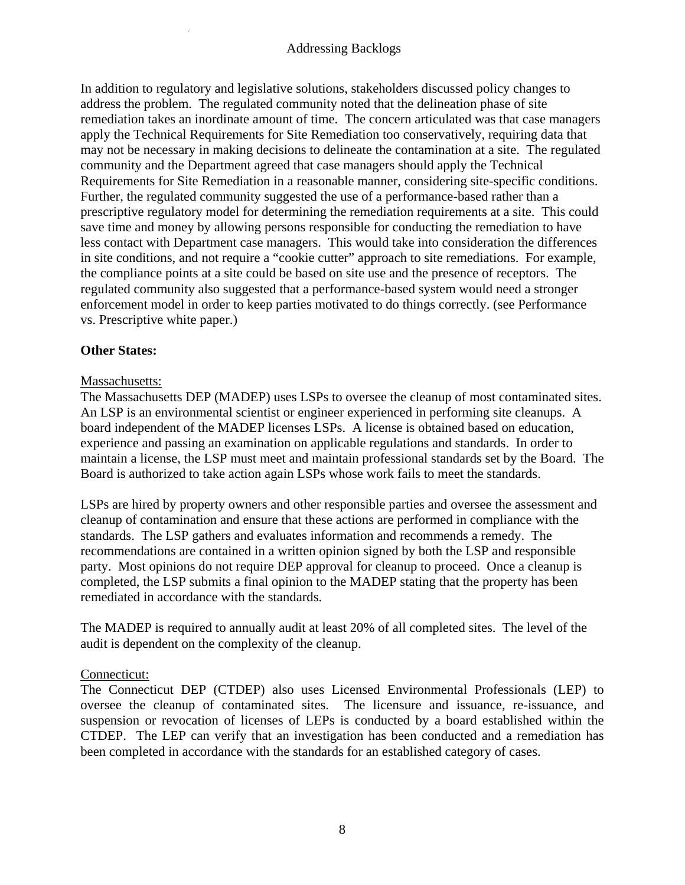In addition to regulatory and legislative solutions, stakeholders discussed policy changes to address the problem. The regulated community noted that the delineation phase of site remediation takes an inordinate amount of time. The concern articulated was that case managers apply the Technical Requirements for Site Remediation too conservatively, requiring data that may not be necessary in making decisions to delineate the contamination at a site. The regulated community and the Department agreed that case managers should apply the Technical Requirements for Site Remediation in a reasonable manner, considering site-specific conditions. Further, the regulated community suggested the use of a performance-based rather than a prescriptive regulatory model for determining the remediation requirements at a site. This could save time and money by allowing persons responsible for conducting the remediation to have less contact with Department case managers. This would take into consideration the differences in site conditions, and not require a "cookie cutter" approach to site remediations. For example, the compliance points at a site could be based on site use and the presence of receptors. The regulated community also suggested that a performance-based system would need a stronger enforcement model in order to keep parties motivated to do things correctly. (see Performance vs. Prescriptive white paper.)

## **Other States:**

## Massachusetts:

The Massachusetts DEP (MADEP) uses LSPs to oversee the cleanup of most contaminated sites. An LSP is an environmental scientist or engineer experienced in performing site cleanups. A board independent of the MADEP licenses LSPs. A license is obtained based on education, experience and passing an examination on applicable regulations and standards. In order to maintain a license, the LSP must meet and maintain professional standards set by the Board. The Board is authorized to take action again LSPs whose work fails to meet the standards.

LSPs are hired by property owners and other responsible parties and oversee the assessment and cleanup of contamination and ensure that these actions are performed in compliance with the standards. The LSP gathers and evaluates information and recommends a remedy. The recommendations are contained in a written opinion signed by both the LSP and responsible party. Most opinions do not require DEP approval for cleanup to proceed. Once a cleanup is completed, the LSP submits a final opinion to the MADEP stating that the property has been remediated in accordance with the standards.

The MADEP is required to annually audit at least 20% of all completed sites. The level of the audit is dependent on the complexity of the cleanup.

#### Connecticut:

The Connecticut DEP (CTDEP) also uses Licensed Environmental Professionals (LEP) to oversee the cleanup of contaminated sites. The licensure and issuance, re-issuance, and suspension or revocation of licenses of LEPs is conducted by a board established within the CTDEP. The LEP can verify that an investigation has been conducted and a remediation has been completed in accordance with the standards for an established category of cases.